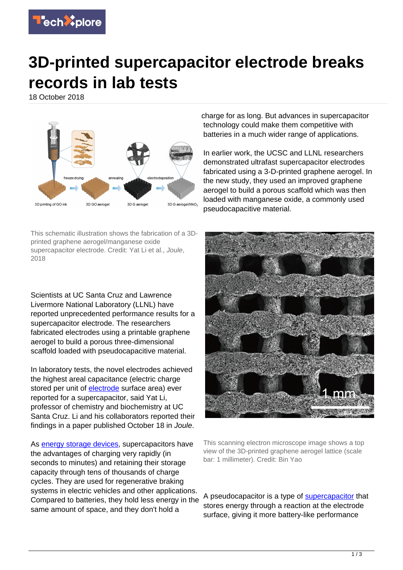

## **3D-printed supercapacitor electrode breaks records in lab tests**

18 October 2018



This schematic illustration shows the fabrication of a 3Dprinted graphene aerogel/manganese oxide supercapacitor electrode. Credit: Yat Li et al., Joule, 2018

Scientists at UC Santa Cruz and Lawrence Livermore National Laboratory (LLNL) have reported unprecedented performance results for a supercapacitor electrode. The researchers fabricated electrodes using a printable graphene aerogel to build a porous three-dimensional scaffold loaded with pseudocapacitive material.

In laboratory tests, the novel electrodes achieved the highest areal capacitance (electric charge stored per unit of [electrode](https://techxplore.com/tags/electrode/) surface area) ever reported for a supercapacitor, said Yat Li, professor of chemistry and biochemistry at UC Santa Cruz. Li and his collaborators reported their findings in a paper published October 18 in Joule.

As [energy storage devices,](https://techxplore.com/tags/energy+storage+devices/) supercapacitors have the advantages of charging very rapidly (in seconds to minutes) and retaining their storage capacity through tens of thousands of charge cycles. They are used for regenerative braking systems in electric vehicles and other applications. Compared to batteries, they hold less energy in the same amount of space, and they don't hold a

charge for as long. But advances in supercapacitor technology could make them competitive with batteries in a much wider range of applications.

In earlier work, the UCSC and LLNL researchers demonstrated ultrafast supercapacitor electrodes fabricated using a 3-D-printed graphene aerogel. In the new study, they used an improved graphene aerogel to build a porous scaffold which was then loaded with manganese oxide, a commonly used pseudocapacitive material.



This scanning electron microscope image shows a top view of the 3D-printed graphene aerogel lattice (scale bar: 1 millimeter). Credit: Bin Yao

A pseudocapacitor is a type of **[supercapacitor](https://techxplore.com/tags/supercapacitor/)** that stores energy through a reaction at the electrode surface, giving it more battery-like performance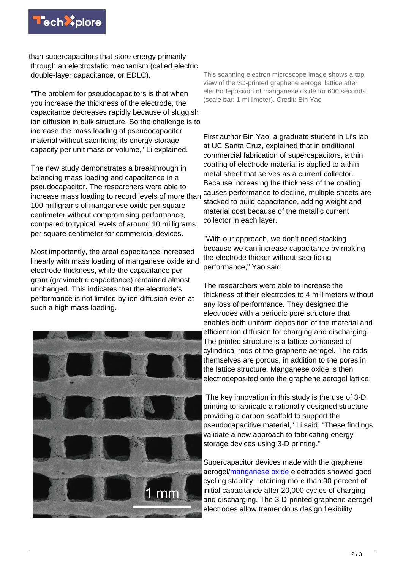

than supercapacitors that store energy primarily through an electrostatic mechanism (called electric double-layer capacitance, or EDLC).

"The problem for pseudocapacitors is that when you increase the thickness of the electrode, the capacitance decreases rapidly because of sluggish ion diffusion in bulk structure. So the challenge is to increase the mass loading of pseudocapacitor material without sacrificing its energy storage capacity per unit mass or volume," Li explained.

The new study demonstrates a breakthrough in balancing mass loading and capacitance in a pseudocapacitor. The researchers were able to increase mass loading to record levels of more than 100 milligrams of manganese oxide per square centimeter without compromising performance, compared to typical levels of around 10 milligrams per square centimeter for commercial devices.

Most importantly, the areal capacitance increased linearly with mass loading of manganese oxide and electrode thickness, while the capacitance per gram (gravimetric capacitance) remained almost unchanged. This indicates that the electrode's performance is not limited by ion diffusion even at such a high mass loading.



This scanning electron microscope image shows a top view of the 3D-printed graphene aerogel lattice after electrodeposition of manganese oxide for 600 seconds (scale bar: 1 millimeter). Credit: Bin Yao

First author Bin Yao, a graduate student in Li's lab at UC Santa Cruz, explained that in traditional commercial fabrication of supercapacitors, a thin coating of electrode material is applied to a thin metal sheet that serves as a current collector. Because increasing the thickness of the coating causes performance to decline, multiple sheets are stacked to build capacitance, adding weight and material cost because of the metallic current collector in each layer.

"With our approach, we don't need stacking because we can increase capacitance by making the electrode thicker without sacrificing performance," Yao said.

The researchers were able to increase the thickness of their electrodes to 4 millimeters without any loss of performance. They designed the electrodes with a periodic pore structure that enables both uniform deposition of the material and efficient ion diffusion for charging and discharging. The printed structure is a lattice composed of cylindrical rods of the graphene aerogel. The rods themselves are porous, in addition to the pores in the lattice structure. Manganese oxide is then electrodeposited onto the graphene aerogel lattice.

"The key innovation in this study is the use of 3-D printing to fabricate a rationally designed structure providing a carbon scaffold to support the pseudocapacitive material," Li said. "These findings validate a new approach to fabricating energy storage devices using 3-D printing."

Supercapacitor devices made with the graphene aerogel[/manganese oxide](https://techxplore.com/tags/manganese+oxide/) electrodes showed good cycling stability, retaining more than 90 percent of initial capacitance after 20,000 cycles of charging and discharging. The 3-D-printed graphene aerogel electrodes allow tremendous design flexibility